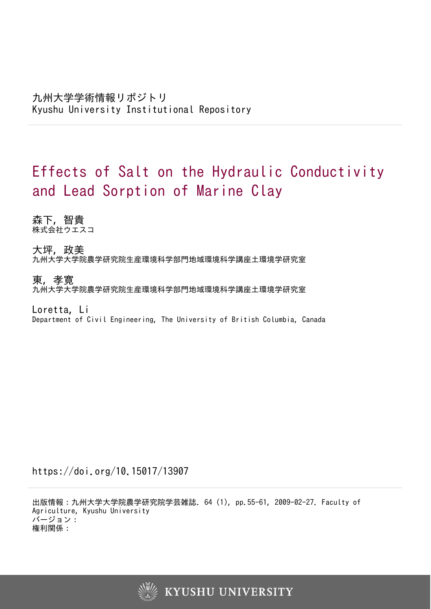# Effects of Salt on the Hydraulic Conductivity and Lead Sorption of Marine Clay

森下, 智貴 株式会社ウエスコ

大坪, 政美 九州大学大学院農学研究院生産環境科学部門地域環境科学講座土環境学研究室

東, 孝寛 九州大学大学院農学研究院生産環境科学部門地域環境科学講座土環境学研究室

Loretta, Li Department of Civil Engineering, The University of British Columbia, Canada

https://doi.org/10.15017/13907

出版情報:九州大学大学院農学研究院学芸雑誌. 64 (1), pp.55-61, 2009-02-27. Faculty of Agriculture, Kyushu University バージョン: 権利関係:

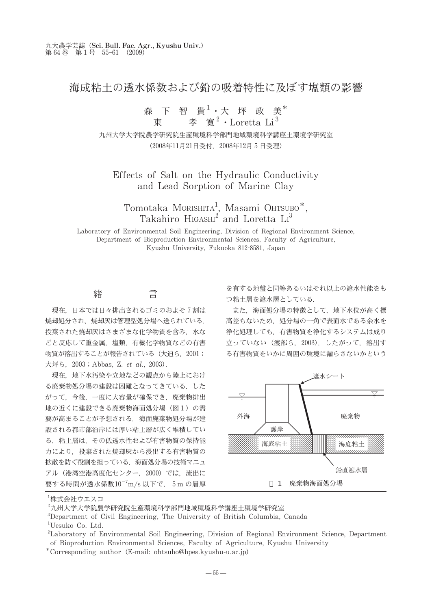## 海成粘土の诱水係数および鉛の吸着特性に及ぼす塩類の影響

# 森下智貴<sup>1</sup>・大坪政美\*<br>東 孝寛<sup>2</sup>・Loretta Li<sup>3</sup>

九州大学大学院農学研究院生産環境科学部門地域環境科学講座土環境学研究室 (2008年11月21日受付, 2008年12月5日受理)

Effects of Salt on the Hydraulic Conductivity and Lead Sorption of Marine Clay

Tomotaka MORISHITA<sup>1</sup>, Masami OHTSUBO<sup>\*</sup>,<br>Takahiro HIGASHI<sup>2</sup> and Loretta  $\text{Li}^3$ 

Laboratory of Environmental Soil Engineering, Division of Regional Environment Science, Department of Bioproduction Environmental Sciences, Faculty of Agriculture, Kyushu University, Fukuoka 812-8581, Japan

#### 緒 言

現在、日本では日々排出されるゴミのおよそ7割は 焼却処分され、焼却灰は管理型処分場へ送られている。 投棄された焼却灰はさまざまな化学物質を含み、水な どと反応して重金属、塩類、有機化学物質などの有害 物質が溶出することが報告されている (大迫ら、2001; 大坪ら, 2003; Abbas, Z. et al., 2003).

現在、地下水汚染や立地などの観点から陸上におけ る廃棄物処分場の建設は困難となってきている。 した がって、今後、一度に大容量が確保でき、廃棄物排出 地の近くに建設できる廃棄物海面処分場 (図1)の需 要が高まることが予想される. 海面廃棄物処分場が建 設される都市部沿岸には厚い粘土層が広く堆積してい る、粘土層は、その低诱水性および有害物質の保持能 力により、投棄された焼却灰から浸出する有害物質の 拡散を防ぐ役割を担っている。海面処分場の技術マニュ アル (港湾空港高度化センター、2000) では、流出に 要する時間が透水係数 $10^{-7} \text{m/s}$ 以下で,5mの層厚 を有する地盤と同等あるいはそれ以上の遮水性能をも つ粘土層を遮水層としている.

また、海面処分場の特徴として、地下水位が高く標 高差もないため、処分場の一角で表面水である余水を 浄化処理しても、有害物質を浄化するシステムは成り 立っていない (渡部ら、2003). したがって、溶出す る有害物質をいかに周囲の環境に漏らさないかという



ト株式会社ウエスコ

<sup>&</sup>lt;sup>2</sup>九州大学大学院農学研究院生産環境科学部門地域環境科学講座土環境学研究室

<sup>&</sup>lt;sup>3</sup>Department of Civil Engineering, The University of British Columbia, Canada

<sup>&</sup>lt;sup>1</sup>Uesuko Co. Ltd.

<sup>&</sup>lt;sup>2</sup>Laboratory of Environmental Soil Engineering, Division of Regional Environment Science, Department of Bioproduction Environmental Sciences, Faculty of Agriculture, Kyushu University

<sup>\*</sup>Corresponding author (E-mail: ohtsubo@bpes.kyushu-u.ac.jp)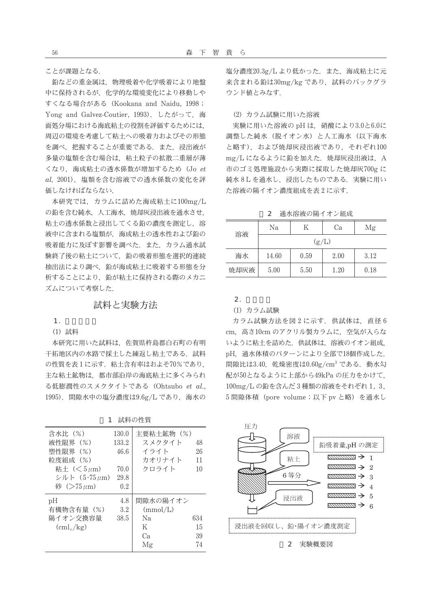ことが課題となる

鉛などの重金属は、物理吸着や化学吸着により地盤 中に保持されるが、化学的な環境変化により移動しや すくなる場合がある (Kookana and Naidu, 1998; Yong and Galvez-Coutier, 1993). したがって、海 面処分場における海底粘土の役割を評価するためには、 周辺の環境を考慮して粘土への吸着力およびその形態 を調べ、把握することが重要である。また、浸出液が 多量の塩類を含む場合は、粘土粒子の拡散二重層が薄 くなり、海成粘土の透水係数が増加するため (Jo et al, 2001). 塩類を含む溶液での透水係数の変化を評 価しなければならない.

本研究では、カラムに詰めた海成粘土に100mg/L の鉛を含む純水、人工海水、焼却灰浸出液を通水させ、 粘土の透水係数と浸出してくる鉛の濃度を測定し、溶 液中に含まれる塩類が、海成粘土の透水性および鉛の 吸着能力に及ぼす影響を調べた。また、カラム通水試 験終了後の粘土について、鉛の吸着形態を選択的連続 抽出法により調べ、鉛が海成粘土に吸着する形態を分 析することにより、鉛が粘土に保持される際のメカニ ズムについて考察した

### 試料と実験方法

 $1<sub>1</sub>$ 

(1) 試料

本研究に用いた試料は、佐賀県杵島郡白石町の有明 干拓地区内の水路で採土した練返し粘土である。試料 の性質を表1に示す. 粘土含有率はおよそ70%であり, 主な粘土鉱物は、都市部沿岸の海底粘土に多くみられ る低膨潤性のスメクタイトである (Ohtsubo et al., 1995). 間隙水中の塩分濃度は9.6g/L であり、海水の

1 試料の性質

| 含水比 (%)<br>液性限界 (%)<br>塑性限界 (%)<br>粒度組成(%)<br>粘土 $(<5 \mu m)$<br>シルト (5-75 <i>u</i> m)<br>砂 $($ >75 $\mu$ m $)$ | 130.0<br>133.2<br>46.6<br>70.0<br>29.8<br>0.2 | 主要粘土鉱物 (%)<br>スメクタイト<br>イライト<br>カオリナイト<br>クロライト | 48<br>26<br>11<br>10  |
|-----------------------------------------------------------------------------------------------------------------|-----------------------------------------------|-------------------------------------------------|-----------------------|
| pH<br>有機物含有量 (%)<br>陽イオン交換容量<br>$(cml_c/kg)$                                                                    | 4.8<br>3.2<br>38.5                            | 間隙水の陽イオン<br>(mmol/L)<br>Nа<br>K<br>Cа<br>Mg     | 634<br>15<br>39<br>74 |

塩分濃度20.3g/L より低かった. また. 海成粘土に元 来含まれる鉛は30mg/kg であり、試料のバックグラ ウンド値とみなす.

(2) カラム試験に用いた溶液

実験に用いた溶液の pH は、硝酸により3.0と6.0に 調整した純水 (脱イオン水) と人工海水 (以下海水 と略す). および焼却灰浸出液であり、それぞれ100 mg/L になるように鉛を加えた、焼却灰浸出液は、A 市のゴミ処理施設から実際に採取した焼却灰700gに 純水8Lを通水し、浸出したものである. 実験に用い た溶液の陽イオン濃度組成を表2に示す.

2 通水溶液の陽イオン組成

| 溶液   | Nа    | K    | Cа   | Μg   |  |
|------|-------|------|------|------|--|
|      | (g/L) |      |      |      |  |
| 海水   | 14.60 | 0.59 | 2.00 | 3.12 |  |
| 焼却灰液 | 5.00  | 5.50 | 1.20 | 0.18 |  |

 $2<sub>1</sub>$ 

#### (1) カラム試験

カラム試験方法を図2に示す. 供試体は、直径6 cm, 高さ10cm のアクリル製カラムに、空気が入らな いように粘土を詰めた. 供試体は、溶液のイオン組成. pH. 通水体積のパターンにより全部で18個作成した. 間隙比は3.40, 乾燥密度は0.60g/cm3 である. 動水勾 配が50となるように上部から49kPaの圧力をかけて、 100mg/Lの鉛を含んだ3種類の溶液をそれぞれ 1, 3, 5 間隙体積 (pore volume;以下 pv と略) を通水し



2 実験概要図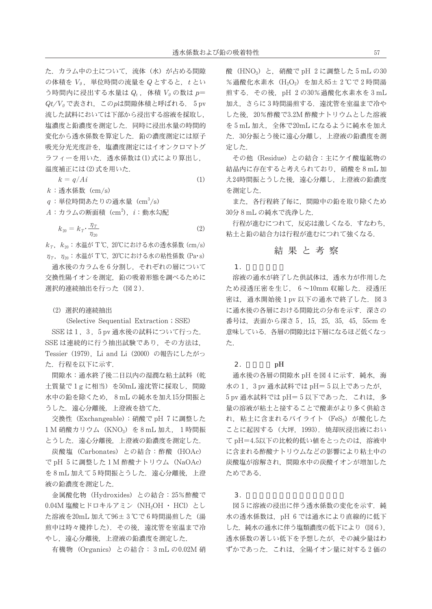$(1)$ 

た. カラム中の土について、流体 (水) が占める間隙 の体積を Vo. 単位時間の流量を Q とすると、t とい う時間内に浸出する水量は Q,, 体積 Vo の数は p=  $Qt/V_0$ で表され、このpは間隙体積と呼ばれる. 5 pv 流した試料においては下部から浸出する溶液を採取し、 塩濃度と鉛濃度を測定した。同時に浸出水量の時間的 変化から透水係数を算定した。鉛の濃度測定には原子 吸光分光光度計を、塩濃度測定にはイオンクロマトグ ラフィーを用いた. 透水係数は(1)式により算出し. 温度補正には(2)式を用いた.

 $k = q/Ai$ 

 $k$ : 透水係数 (cm/s)

 $q:$ 単位時間あたりの通水量 (cm<sup>3</sup>/s)

 $k_{20} = k_T \cdot \frac{\eta_T}{\eta_{20}}$  $(2)$ 

 $k_T$ ,  $k_{20}$ : 水温が T°C, 20°Cにおける水の透水係数 (cm/s)  $\eta_{\tau}$ ,  $\eta_{\infty}$ : 水温が T°C, 20°Cにおける水の粘性係数 (Pa·s)

通水後のカラムを6分割し、それぞれの層について 交換性陽イオンを測定、鉛の吸着形態を調べるために 選択的連続抽出を行った (図2).

#### (2) 選択的連続抽出

(Selective Sequential Extraction; SSE) SSE は1, 3, 5 pv 通水後の試料について行った. SSE は連続的に行う抽出試験であり、その方法は、 Tessier (1979). Li and Li (2000) の報告にしたがっ た. 行程を以下に示す.

間隙水:通水終了後二日以内の湿潤な粘土試料(乾 土質量で1gに相当)を50mL 遠沈管に採取し、間隙 水中の鉛を除くため、8mLの純水を加え15分間振と うした. 遠心分離後、上澄液を捨てた.

交換性 (Exchangeable):硝酸で pH 7に調整した 1 M 硝酸カリウム (KNO3) を8 mL 加え、1時間振 とうした. 遠心分離後、上澄液の鉛濃度を測定した.

炭酸塩 (Carbonates) との結合:酢酸 (HOAc) でpH 5に調整した1M酢酸ナトリウム (NaOAc) を8mL加えて5時間振とうした. 遠心分離後, 上澄 液の鉛濃度を測定した.

金属酸化物 (Hydroxides) との結合: 25%酢酸で 0.04M 塩酸ヒドロキルアミン (NH2OH · HCl) とし た溶液を20mL加えて96±3℃で6時間湯煎した(湯 煎中は時々攪拌した). その後、遠沈管を室温まで冷 やし、遠心分離後、上澄液の鉛濃度を測定した.

有機物 (Organics) との結合: 3 mL の0.02M 硝

酸 (HNO3) と、硝酸で pH 2 に調整した 5 mL の30 %過酸化水素水 (H<sub>2</sub>O<sub>2</sub>) を加え85±2℃で2時間湯 煎する. その後、pH 2の30%過酸化水素水を3mL 加え、さらに3時間湯煎する. 遠沈管を室温まで冷や した後、20%酢酸で3.2M酢酸ナトリウムとした溶液 を5mL加え、全体で20mLになるように純水を加え た. 30分振とう後に遠心分離し、上澄液の鉛濃度を測 定した.

その他 (Residue) との結合:主にケイ酸塩鉱物の 結晶内に存在すると考えられており、硝酸を8mL加 え24時間振とうした後、遠心分離し、上澄液の鉛濃度 を測定した.

また、各行程終了毎に、間隙中の鉛を取り除くため 30分8mLの純水で洗浄した.

行程が進むにつれて、反応は激しくなる。すなわち、 粘土と鉛の結合力は行程が進むにつれて強くなる.

#### 結果と考察

 $1.$ 

溶液の通水が終了した供試体は、透水力が作用した ため浸透圧密を生じ、6~10mm収縮した. 浸透圧 密は、通水開始後1pv 以下の通水で終了した. 図3 に通水後の各層における間隙比の分布を示す。深さの 番号は、表面から深さ 5, 15, 25, 35, 45, 55cm を 意味している。各層の間隙比は下層になるほど低くなっ た.

 $2.$ pH

通水後の各層の間隙水 pH を図 4 に示す. 純水, 海 水の1,3pv 通水試料では pH=5以上であったが, 5 pv 通水試料では pH=5以下であった. これは、多 量の溶液が粘土と接することで酸素がより多く供給さ れ、粘土に含まれるパイライト (FeS2) が酸化した ことに起因する (大坪, 1993). 焼却灰浸出液におい てpH=4.5以下の比較的低い値をとったのは、溶液中 に含まれる酢酸ナトリウムなどの影響により粘土中の 炭酸塩が溶解され、間隙水中の炭酸イオンが増加した ためである.

 $\mathcal{R}$ 

図5に溶液の浸出に伴う透水係数の変化を示す. 純 水の透水係数は、pH 6 では通水により直線的に低下 した. 純水の通水に伴う塩類濃度の低下により (図6), 透水係数の著しい低下を予想したが、その減少量はわ ずかであった. これは、全陽イオン量に対する2価の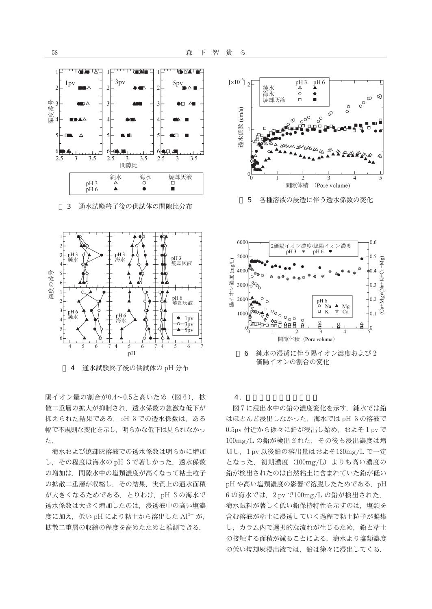



通水試験終了後の供試体の pH 分布  $\Delta$ 

陽イオン量の割合が0.4~0.5と高いため (図6), 拡 散二重層の拡大が抑制され、透水係数の急激な低下が 抑えられた結果である. pH 3 での透水係数は、ある 幅で不規則な変化を示し、明らかな低下は見られなかっ  $\uparrow$ .

海水および焼却灰溶液での透水係数は明らかに増加 し、その程度は海水の pH 3 で著しかった. 透水係数 の増加は、間隙水中の塩類濃度が高くなって粘土粒子 の拡散二重層が収縮し、その結果、実質上の通水面積 が大きくなるためである. とりわけ, pH 3の海水で 透水係数は大きく増加したのは、浸透液中の高い塩濃 度に加え、低い pH により粘土から溶出した Al3+ が, 拡散二重層の収縮の程度を高めたためと推測できる.



各種溶液の浸透に伴う透水係数の変化 5



 $4.$ 

図7に浸出水中の鉛の濃度変化を示す. 純水では鉛 はほとんど浸出しなかった. 海水では pH 3の溶液で 0.5pv 付近から徐々に鉛が浸出し始め、およそ1pv で 100mg/L の鉛が検出された. その後も浸出濃度は増 加し、1pv 以後鉛の溶出量はおよそ120mg/L で一定 となった. 初期濃度 (100mg/L) よりも高い濃度の 鉛が検出されたのは自然粘土に含まれていた鉛が低い pH や高い塩類濃度の影響で溶脱したためである. pH 6の海水では、2 pv で100mg/L の鉛が検出された. 海水試料が著しく低い鉛保持特性を示すのは、塩類を 含む溶液が粘土に浸透していく過程で粘土粒子が凝集 し、カラム内で選択的な流れが生じるため、鉛と粘土 の接触する面積が減ることによる。海水より塩類濃度 の低い焼却灰浸出液では、鉛は徐々に浸出してくる.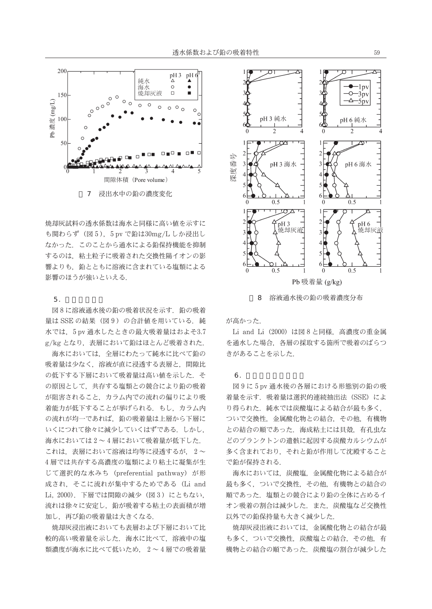

焼却灰試料の透水係数は海水と同様に高い値を示すに も関わらず (図5), 5pv で鉛は30mg/L しか浸出し なかった、このことから通水による鉛保持機能を抑制 するのは、粘土粒子に吸着された交換性陽イオンの影 響よりも、鉛とともに溶液に含まれている塩類による 影響のほうが強いといえる。

#### $5.$

図8に溶液通水後の鉛の吸着状況を示す. 鉛の吸着 量は SSE の結果(図9)の合計値を用いている。純 水では、5pv 通水したときの最大吸着量はおよそ3.7 g/kg となり、表層において鉛はほとんど吸着された.

海水においては、全層にわたって純水に比べて鉛の 吸着量は少なく、溶液が直に浸透する表層と、間隙比 の低下する下層において吸着量は高い値を示した。そ の原因として、共存する塩類との競合により鉛の吸着 が阻害されること、カラム内での流れの偏りにより吸 着能力が低下することが挙げられる。もし、カラム内 の流れが均一であれば、鉛の吸着量は上層から下層に いくにつれて徐々に減少していくはずである。しかし、 海水においては2~4層において吸着量が低下した。 これは、表層において溶液は均等に浸透するが、2~ 4層では共存する高濃度の塩類により粘土に凝集が生 じて選択的な水みち (preferential pathway) が形 成され、そこに流れが集中するためである (Li and Li, 2000). 下層では間隙の減少 (図3) にともない, 流れは徐々に安定し、鉛が吸着する粘土の表面積が増 加し、再び鉛の吸着量は大きくなる.

焼却灰浸出液においても表層および下層において比 較的高い吸着量を示した、海水に比べて、溶液中の塩 類濃度が海水に比べて低いため、2~4層での吸着量



溶液通水後の鉛の吸着濃度分布  $\mathsf{R}$ 

が高かった

Li and Li (2000) は図 8 と同様, 高濃度の重金属 を通水した場合、各層の採取する箇所で吸着のばらつ きがあることを示した.

#### 6

図9に5pv通水後の各層における形態別の鉛の吸 着量を示す. 吸着量は選択的連続抽出法 (SSE) によ り得られた. 純水では炭酸塩による結合が最も多く. ついで交換性、金属酸化物との結合、その他、有機物 との結合の順であった。海成粘土には貝殻、有孔虫な どのプランクトンの遺骸に起因する炭酸カルシウムが 多く含まれており、それと鉛が作用して沈殿すること で鉛が保持される.

海水においては、炭酸塩、金属酸化物による結合が 最も多く、ついで交換性、その他、有機物との結合の 順であった。塩類との競合により鉛の全体に占めるイ オン吸着の割合は減少した。また、炭酸塩など交換性 以外での鉛保持量も大きく減少した.

焼却灰浸出液においては、金属酸化物との結合が最 も多く、ついで交換性、炭酸塩との結合、その他、有 機物との結合の順であった。炭酸塩の割合が減少した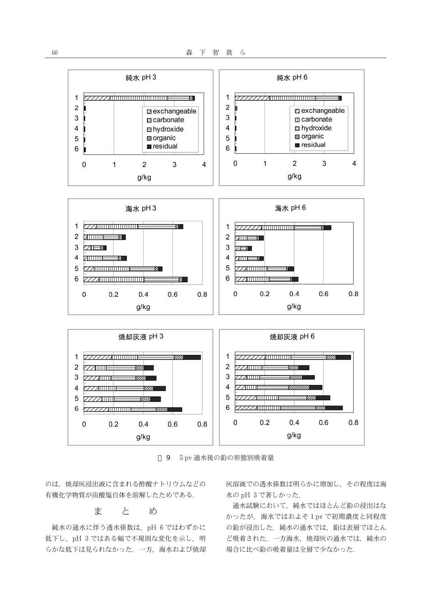

9 5 pv 通水後の鉛の形態別吸着量

のは、焼却灰浸出液に含まれる酢酸ナトリウムなどの 有機化学物質が炭酸塩自体を溶解したためである.

> と 主 め

純水の通水に伴う透水係数は、pH 6 ではわずかに 低下し、pH 3 ではある幅で不規則な変化を示し、明 らかな低下は見られなかった。一方、海水および焼却

灰溶液での透水係数は明らかに増加し、その程度は海 水の pH 3 で著しかった.

通水試験において、純水ではほとんど鉛の浸出はな かったが、海水ではおよそ1pvで初期濃度と同程度 の鉛が浸出した. 純水の通水では、鉛は表層でほとん ど吸着された. 一方海水, 焼却灰の通水では, 純水の 場合に比べ鉛の吸着量は全層で少なかった.